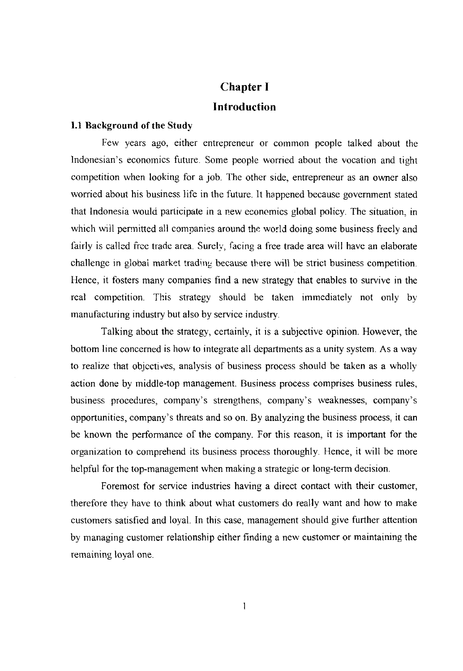# **Chapter I Introduction**

## **1.1 Background of the Study**

Few years ago, either entrepreneur or common people talked about the Indonesian's economics future. Some people worried about the vocation and tight competition when looking for a job. The other side, entrepreneur as an owner also worried about his business life in the future. It happened because government stated that Indonesia would participate in a new economics global policy. The situation, in which will permitted all companies around the world doing some business freely and fairly is called free trade area. Surely, facing a free trade area will have an elaborate challenge in global market trading because there will be strict business competition. Hence, it fosters many companies find a new strategy that enables to survive in the real competition. This strategy should be taken immediately not only by manufacturing industry but also by service industry.

Talking about the strategy, certainly, it is a subjective opinion. However, the bottom line concerned is how to integrate all departments as a unity system. As a way to realize that objccti ves, analysis of business process should be taken as a wholly action done by middle-top management. Business process comprises business rules, business procedures, company's strengthens, company's weaknesses, company's opportunities, company's threats and so on. By analyzing the business process, it can be known the perfonnance of the company. For this reason, it is important for the organization to comprehend its business process thoroughly. Hence, it will be more helpful for the top-management when making a strategic or long-term decision.

Foremost for service industries having a direct contact with their customer, therefore they have to think about what customers do really want and how to make customers satisfied and loyal. In this case, management should give further attention by managing customer relationship either finding a new customer or maintaining the remaining loyal one.

 $\mathbf{I}$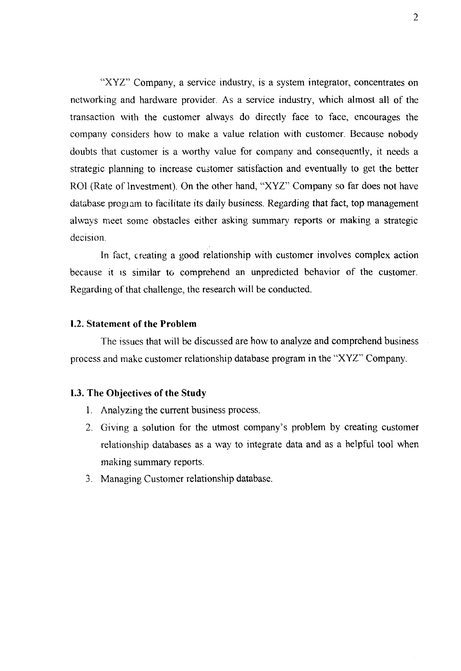"XYZ" Company, a service industry, is a system integrator, concentrates on networking and hardware provider. As a service industry, which almost all of the transaction with the customer always do directly face to face, encourages the company considers how to make a value relation with customer. Because nobody doubts that customer is a worthy value for company and consequently, it needs a strategic planning to increase customer satisfaction and eventually to get the better ROI (Rate of Investment). On the other hand, "XYZ" Company so far does not have database program to facilitate its daily business. Regarding that fact, top management always meet some obstacles either asking summary reports or making a strategic decision.

In fact, creating a good relationship with customer involves complex action because it IS similar to comprehend an unpredicted behavior of the customer. Regarding of that challenge, the research will be conducted.

## **1.2. Statement of the Problem**

The issues that will be discussed are how to analyze and comprehend business process and make customer relationship database program in the "XYZ" Company.

#### **1.3. The Objectives of the Study**

- 1. Analyzing the current business process.
- 2. Giving a solution for the utmost company's problem by creating customer relationship databases as a way to integrate data and as a helpful tool when making summary reports.
- 3. Managing Customer relationship database.